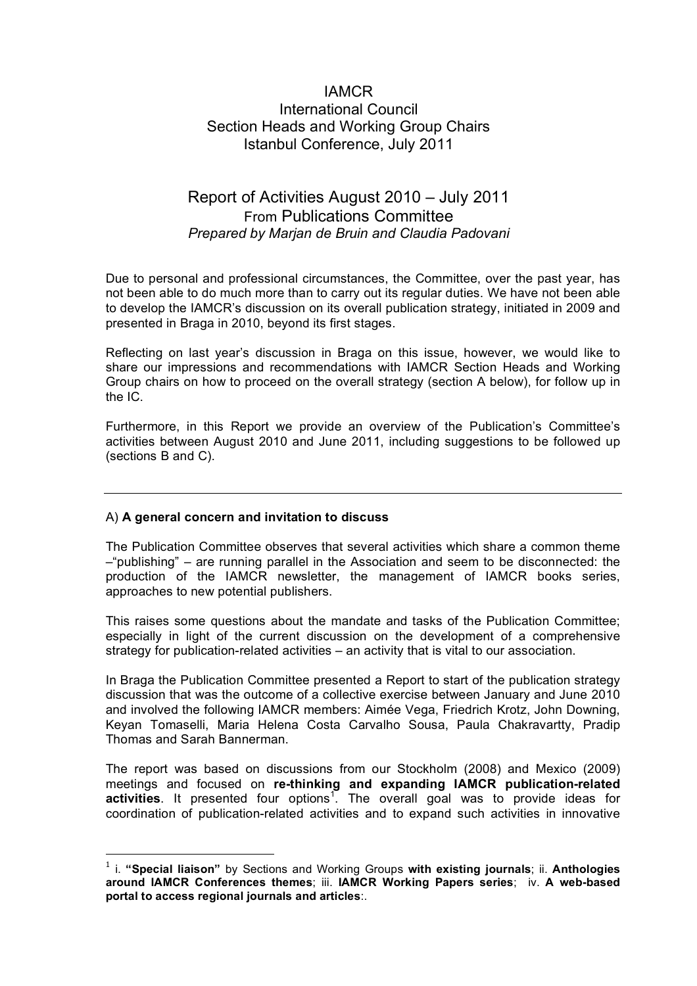## IAMCR International Council Section Heads and Working Group Chairs Istanbul Conference, July 2011

# Report of Activities August 2010 – July 2011 From Publications Committee *Prepared by Marjan de Bruin and Claudia Padovani*

Due to personal and professional circumstances, the Committee, over the past year, has not been able to do much more than to carry out its regular duties. We have not been able to develop the IAMCR's discussion on its overall publication strategy, initiated in 2009 and presented in Braga in 2010, beyond its first stages.

Reflecting on last year's discussion in Braga on this issue, however, we would like to share our impressions and recommendations with IAMCR Section Heads and Working Group chairs on how to proceed on the overall strategy (section A below), for follow up in the IC.

Furthermore, in this Report we provide an overview of the Publication's Committee's activities between August 2010 and June 2011, including suggestions to be followed up (sections B and C).

### A) **A general concern and invitation to discuss**

The Publication Committee observes that several activities which share a common theme –"publishing" – are running parallel in the Association and seem to be disconnected: the production of the IAMCR newsletter, the management of IAMCR books series, approaches to new potential publishers.

This raises some questions about the mandate and tasks of the Publication Committee; especially in light of the current discussion on the development of a comprehensive strategy for publication-related activities – an activity that is vital to our association.

In Braga the Publication Committee presented a Report to start of the publication strategy discussion that was the outcome of a collective exercise between January and June 2010 and involved the following IAMCR members: Aimée Vega, Friedrich Krotz, John Downing, Keyan Tomaselli, Maria Helena Costa Carvalho Sousa, Paula Chakravartty, Pradip Thomas and Sarah Bannerman.

The report was based on discussions from our Stockholm (2008) and Mexico (2009) meetings and focused on **re-thinking and expanding IAMCR publication-related**  activities. It presented four options<sup>1</sup>. The overall goal was to provide ideas for coordination of publication-related activities and to expand such activities in innovative

 <sup>1</sup> i. **"Special liaison"** by Sections and Working Groups **with existing journals**; ii. **Anthologies around IAMCR Conferences themes**; iii. **IAMCR Working Papers series**; iv. **A web-based portal to access regional journals and articles**:.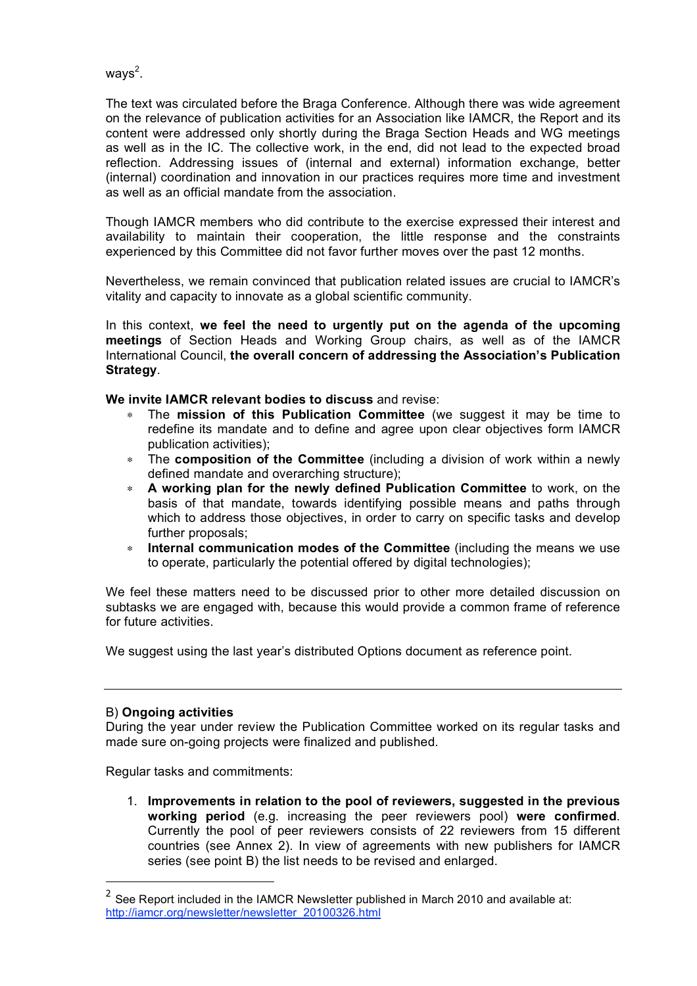ways<sup>2</sup>.

The text was circulated before the Braga Conference. Although there was wide agreement on the relevance of publication activities for an Association like IAMCR, the Report and its content were addressed only shortly during the Braga Section Heads and WG meetings as well as in the IC. The collective work, in the end, did not lead to the expected broad reflection. Addressing issues of (internal and external) information exchange, better (internal) coordination and innovation in our practices requires more time and investment as well as an official mandate from the association.

Though IAMCR members who did contribute to the exercise expressed their interest and availability to maintain their cooperation, the little response and the constraints experienced by this Committee did not favor further moves over the past 12 months.

Nevertheless, we remain convinced that publication related issues are crucial to IAMCR's vitality and capacity to innovate as a global scientific community.

In this context, **we feel the need to urgently put on the agenda of the upcoming meetings** of Section Heads and Working Group chairs, as well as of the IAMCR International Council, **the overall concern of addressing the Association's Publication Strategy**.

**We invite IAMCR relevant bodies to discuss** and revise:

- The **mission of this Publication Committee** (we suggest it may be time to redefine its mandate and to define and agree upon clear objectives form IAMCR publication activities);
- ∗ The **composition of the Committee** (including a division of work within a newly defined mandate and overarching structure);
- ∗ **A working plan for the newly defined Publication Committee** to work, on the basis of that mandate, towards identifying possible means and paths through which to address those objectives, in order to carry on specific tasks and develop further proposals;
- ∗ **Internal communication modes of the Committee** (including the means we use to operate, particularly the potential offered by digital technologies);

We feel these matters need to be discussed prior to other more detailed discussion on subtasks we are engaged with, because this would provide a common frame of reference for future activities.

We suggest using the last year's distributed Options document as reference point.

### B) **Ongoing activities**

During the year under review the Publication Committee worked on its regular tasks and made sure on-going projects were finalized and published.

Regular tasks and commitments:

1. **Improvements in relation to the pool of reviewers, suggested in the previous working period** (e.g. increasing the peer reviewers pool) **were confirmed**. Currently the pool of peer reviewers consists of 22 reviewers from 15 different countries (see Annex 2). In view of agreements with new publishers for IAMCR series (see point B) the list needs to be revised and enlarged.

 $2^{2}$  See Report included in the IAMCR Newsletter published in March 2010 and available at: http://iamcr.org/newsletter/newsletter\_20100326.html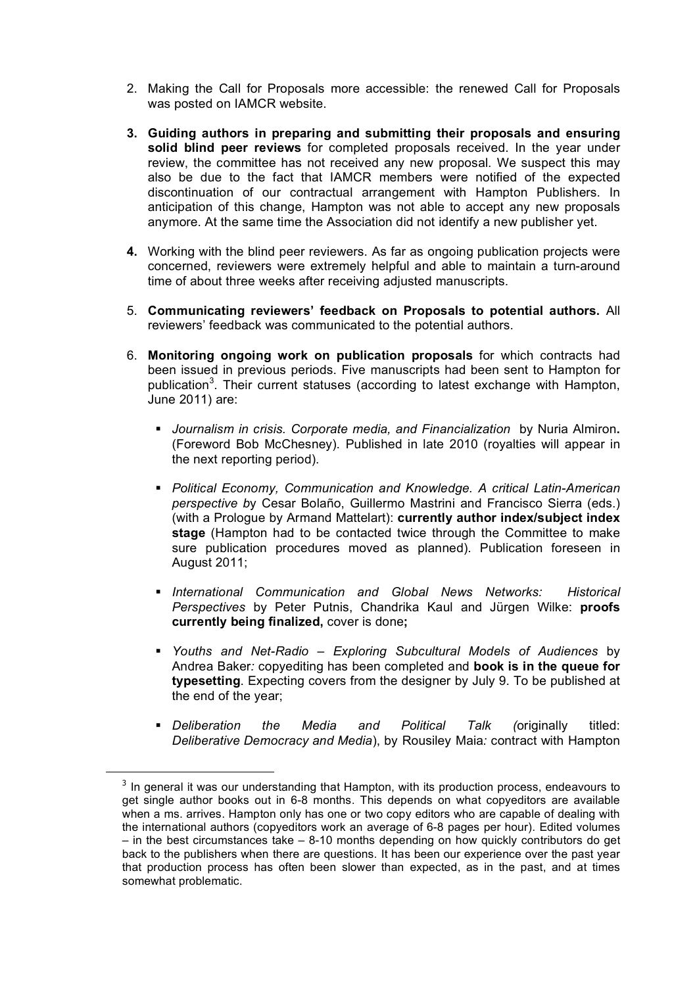- 2. Making the Call for Proposals more accessible: the renewed Call for Proposals was posted on IAMCR website.
- **3. Guiding authors in preparing and submitting their proposals and ensuring solid blind peer reviews** for completed proposals received. In the year under review, the committee has not received any new proposal. We suspect this may also be due to the fact that IAMCR members were notified of the expected discontinuation of our contractual arrangement with Hampton Publishers. In anticipation of this change, Hampton was not able to accept any new proposals anymore. At the same time the Association did not identify a new publisher yet.
- **4.** Working with the blind peer reviewers. As far as ongoing publication projects were concerned, reviewers were extremely helpful and able to maintain a turn-around time of about three weeks after receiving adjusted manuscripts.
- 5. **Communicating reviewers' feedback on Proposals to potential authors.** All reviewers' feedback was communicated to the potential authors.
- 6. **Monitoring ongoing work on publication proposals** for which contracts had been issued in previous periods. Five manuscripts had been sent to Hampton for publication<sup>3</sup>. Their current statuses (according to latest exchange with Hampton, June 2011) are:
	- *Journalism in crisis. Corporate media, and Financialization* by Nuria Almiron**.**  (Foreword Bob McChesney). Published in late 2010 (royalties will appear in the next reporting period).
	- *Political Economy, Communication and Knowledge. A critical Latin-American perspective b*y Cesar Bolaño, Guillermo Mastrini and Francisco Sierra (eds.) (with a Prologue by Armand Mattelart): **currently author index/subject index stage** (Hampton had to be contacted twice through the Committee to make sure publication procedures moved as planned). Publication foreseen in August 2011;
	- *International Communication and Global News Networks: Historical Perspectives* by Peter Putnis, Chandrika Kaul and Jürgen Wilke: **proofs currently being finalized,** cover is done**;**
	- *Youths and Net-Radio Exploring Subcultural Models of Audiences* by Andrea Baker*:* copyediting has been completed and **book is in the queue for typesetting**. Expecting covers from the designer by July 9. To be published at the end of the year;
	- *Deliberation the Media and Political Talk (*originally titled: *Deliberative Democracy and Media*), by Rousiley Maia*:* contract with Hampton

 $3$  In general it was our understanding that Hampton, with its production process, endeavours to get single author books out in 6-8 months. This depends on what copyeditors are available when a ms. arrives. Hampton only has one or two copy editors who are capable of dealing with the international authors (copyeditors work an average of 6-8 pages per hour). Edited volumes – in the best circumstances take – 8-10 months depending on how quickly contributors do get back to the publishers when there are questions. It has been our experience over the past year that production process has often been slower than expected, as in the past, and at times somewhat problematic.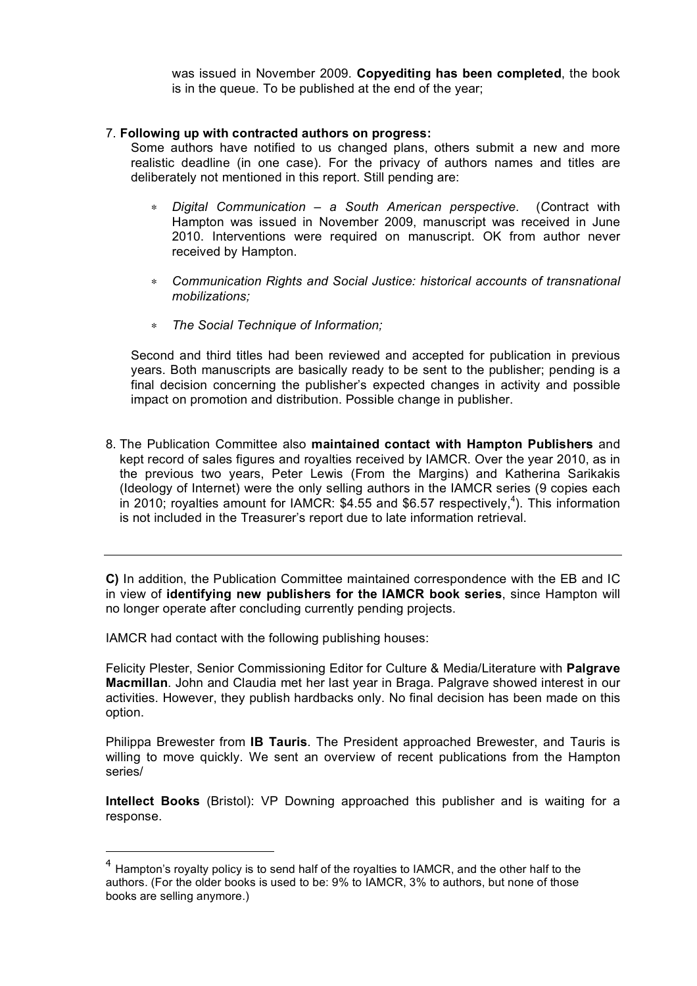was issued in November 2009. **Copyediting has been completed**, the book is in the queue. To be published at the end of the year;

#### 7. **Following up with contracted authors on progress:**

Some authors have notified to us changed plans, others submit a new and more realistic deadline (in one case). For the privacy of authors names and titles are deliberately not mentioned in this report. Still pending are:

- ∗ *Digital Communication a South American perspective*. (*C*ontract with Hampton was issued in November 2009, manuscript was received in June 2010. Interventions were required on manuscript. OK from author never received by Hampton.
- ∗ *Communication Rights and Social Justice: historical accounts of transnational mobilizations;*
- ∗ *The Social Technique of Information;*

Second and third titles had been reviewed and accepted for publication in previous years. Both manuscripts are basically ready to be sent to the publisher; pending is a final decision concerning the publisher's expected changes in activity and possible impact on promotion and distribution. Possible change in publisher.

8. The Publication Committee also **maintained contact with Hampton Publishers** and kept record of sales figures and royalties received by IAMCR. Over the year 2010, as in the previous two years, Peter Lewis (From the Margins) and Katherina Sarikakis (Ideology of Internet) were the only selling authors in the IAMCR series (9 copies each in 2010; royalties amount for IAMCR: \$4.55 and \$6.57 respectively, 4 ). This information is not included in the Treasurer's report due to late information retrieval.

**C)** In addition, the Publication Committee maintained correspondence with the EB and IC in view of **identifying new publishers for the IAMCR book series**, since Hampton will no longer operate after concluding currently pending projects.

IAMCR had contact with the following publishing houses:

Felicity Plester, Senior Commissioning Editor for Culture & Media/Literature with **Palgrave Macmillan**. John and Claudia met her last year in Braga. Palgrave showed interest in our activities. However, they publish hardbacks only. No final decision has been made on this option.

Philippa Brewester from **IB Tauris**. The President approached Brewester, and Tauris is willing to move quickly. We sent an overview of recent publications from the Hampton series/

**Intellect Books** (Bristol): VP Downing approached this publisher and is waiting for a response.

 $4$  Hampton's royalty policy is to send half of the royalties to IAMCR, and the other half to the authors. (For the older books is used to be: 9% to IAMCR, 3% to authors, but none of those books are selling anymore.)